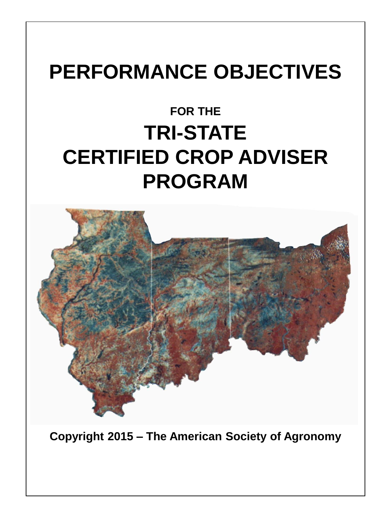# **PERFORMANCE OBJECTIVES**

# **FOR THE TRI-STATE CERTIFIED CROP ADVISER PROGRAM**



**Copyright 2015 – The American Society of Agronomy**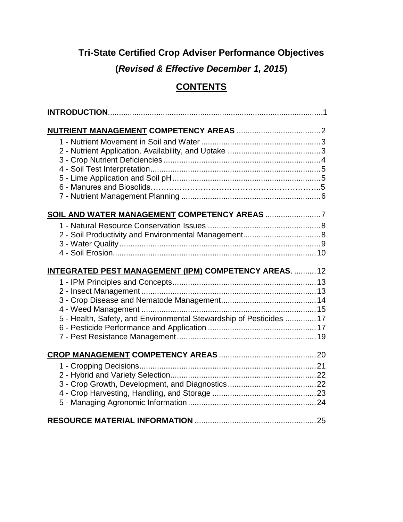# **Tri-State Certified Crop Adviser Performance Objectives**

**(***Revised & Effective December 1, 2015***)**

# **CONTENTS**

| INTEGRATED PEST MANAGEMENT (IPM) COMPETENCY AREAS.  12              |  |
|---------------------------------------------------------------------|--|
|                                                                     |  |
|                                                                     |  |
|                                                                     |  |
|                                                                     |  |
| 5 - Health, Safety, and Environmental Stewardship of Pesticides  17 |  |
|                                                                     |  |
|                                                                     |  |
|                                                                     |  |
|                                                                     |  |
|                                                                     |  |
|                                                                     |  |
|                                                                     |  |
|                                                                     |  |
|                                                                     |  |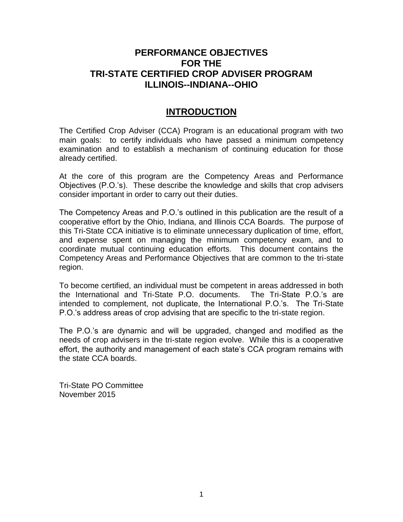# **PERFORMANCE OBJECTIVES FOR THE TRI-STATE CERTIFIED CROP ADVISER PROGRAM ILLINOIS--INDIANA--OHIO**

# **INTRODUCTION**

The Certified Crop Adviser (CCA) Program is an educational program with two main goals: to certify individuals who have passed a minimum competency examination and to establish a mechanism of continuing education for those already certified.

At the core of this program are the Competency Areas and Performance Objectives (P.O.'s). These describe the knowledge and skills that crop advisers consider important in order to carry out their duties.

The Competency Areas and P.O.'s outlined in this publication are the result of a cooperative effort by the Ohio, Indiana, and Illinois CCA Boards. The purpose of this Tri-State CCA initiative is to eliminate unnecessary duplication of time, effort, and expense spent on managing the minimum competency exam, and to coordinate mutual continuing education efforts. This document contains the Competency Areas and Performance Objectives that are common to the tri-state region.

To become certified, an individual must be competent in areas addressed in both the International and Tri-State P.O. documents. The Tri-State P.O.'s are intended to complement, not duplicate, the International P.O.'s. The Tri-State P.O.'s address areas of crop advising that are specific to the tri-state region.

The P.O.'s are dynamic and will be upgraded, changed and modified as the needs of crop advisers in the tri-state region evolve. While this is a cooperative effort, the authority and management of each state's CCA program remains with the state CCA boards.

Tri-State PO Committee November 2015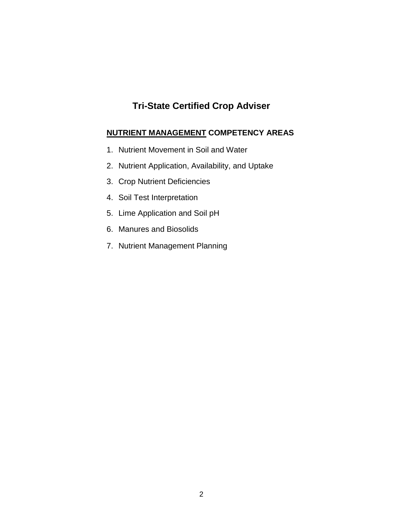# **Tri-State Certified Crop Adviser**

### **NUTRIENT MANAGEMENT COMPETENCY AREAS**

- 1. Nutrient Movement in Soil and Water
- 2. Nutrient Application, Availability, and Uptake
- 3. Crop Nutrient Deficiencies
- 4. Soil Test Interpretation
- 5. Lime Application and Soil pH
- 6. Manures and Biosolids
- 7. Nutrient Management Planning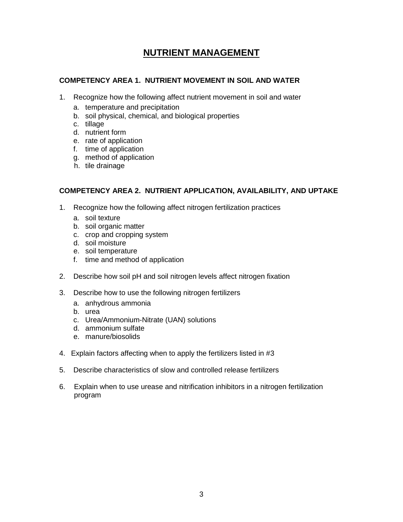# **NUTRIENT MANAGEMENT**

#### **COMPETENCY AREA 1. NUTRIENT MOVEMENT IN SOIL AND WATER**

- 1. Recognize how the following affect nutrient movement in soil and water
	- a. temperature and precipitation
	- b. soil physical, chemical, and biological properties
	- c. tillage
	- d. nutrient form
	- e. rate of application
	- f. time of application
	- g. method of application
	- h. tile drainage

#### **COMPETENCY AREA 2. NUTRIENT APPLICATION, AVAILABILITY, AND UPTAKE**

- 1. Recognize how the following affect nitrogen fertilization practices
	- a. soil texture
	- b. soil organic matter
	- c. crop and cropping system
	- d. soil moisture
	- e. soil temperature
	- f. time and method of application
- 2. Describe how soil pH and soil nitrogen levels affect nitrogen fixation
- 3. Describe how to use the following nitrogen fertilizers
	- a. anhydrous ammonia
	- b. urea
	- c. Urea/Ammonium-Nitrate (UAN) solutions
	- d. ammonium sulfate
	- e. manure/biosolids
- 4. Explain factors affecting when to apply the fertilizers listed in #3
- 5. Describe characteristics of slow and controlled release fertilizers
- 6. Explain when to use urease and nitrification inhibitors in a nitrogen fertilization program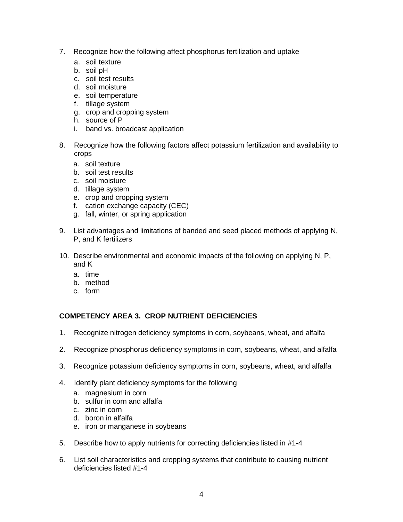- 7. Recognize how the following affect phosphorus fertilization and uptake
	- a. soil texture
	- b. soil pH
	- c. soil test results
	- d. soil moisture
	- e. soil temperature
	- f. tillage system
	- g. crop and cropping system
	- h. source of P
	- i. band vs. broadcast application
- 8. Recognize how the following factors affect potassium fertilization and availability to crops
	- a. soil texture
	- b. soil test results
	- c. soil moisture
	- d. tillage system
	- e. crop and cropping system
	- f. cation exchange capacity (CEC)
	- g. fall, winter, or spring application
- 9. List advantages and limitations of banded and seed placed methods of applying N, P, and K fertilizers
- 10. Describe environmental and economic impacts of the following on applying N, P, and K
	- a. time
	- b. method
	- c. form

#### **COMPETENCY AREA 3. CROP NUTRIENT DEFICIENCIES**

- 1. Recognize nitrogen deficiency symptoms in corn, soybeans, wheat, and alfalfa
- 2. Recognize phosphorus deficiency symptoms in corn, soybeans, wheat, and alfalfa
- 3. Recognize potassium deficiency symptoms in corn, soybeans, wheat, and alfalfa
- 4. Identify plant deficiency symptoms for the following
	- a. magnesium in corn
	- b. sulfur in corn and alfalfa
	- c. zinc in corn
	- d. boron in alfalfa
	- e. iron or manganese in soybeans
- 5. Describe how to apply nutrients for correcting deficiencies listed in #1-4
- 6. List soil characteristics and cropping systems that contribute to causing nutrient deficiencies listed #1-4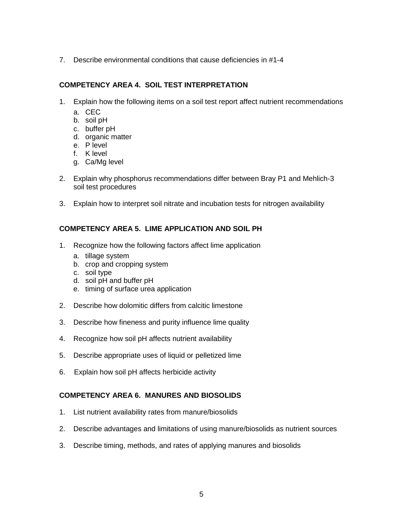7. Describe environmental conditions that cause deficiencies in #1-4

#### **COMPETENCY AREA 4. SOIL TEST INTERPRETATION**

- 1. Explain how the following items on a soil test report affect nutrient recommendations
	- a. CEC
	- b. soil pH
	- c. buffer pH
	- d. organic matter
	- e. P level
	- f. K level
	- g. Ca/Mg level
- 2. Explain why phosphorus recommendations differ between Bray P1 and Mehlich-3 soil test procedures
- 3. Explain how to interpret soil nitrate and incubation tests for nitrogen availability

#### **COMPETENCY AREA 5. LIME APPLICATION AND SOIL PH**

- 1. Recognize how the following factors affect lime application
	- a. tillage system
	- b. crop and cropping system
	- c. soil type
	- d. soil pH and buffer pH
	- e. timing of surface urea application
- 2. Describe how dolomitic differs from calcitic limestone
- 3. Describe how fineness and purity influence lime quality
- 4. Recognize how soil pH affects nutrient availability
- 5. Describe appropriate uses of liquid or pelletized lime
- 6. Explain how soil pH affects herbicide activity

#### **COMPETENCY AREA 6. MANURES AND BIOSOLIDS**

- 1. List nutrient availability rates from manure/biosolids
- 2. Describe advantages and limitations of using manure/biosolids as nutrient sources
- 3. Describe timing, methods, and rates of applying manures and biosolids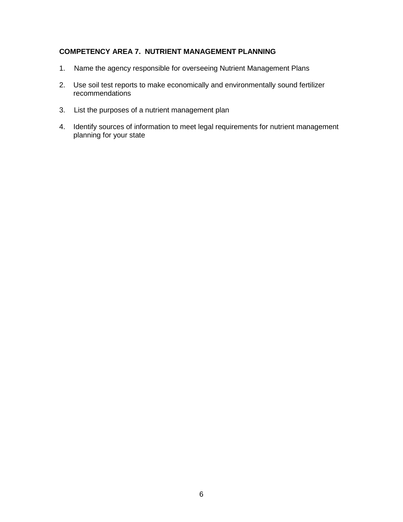#### **COMPETENCY AREA 7. NUTRIENT MANAGEMENT PLANNING**

- 1. Name the agency responsible for overseeing Nutrient Management Plans
- 2. Use soil test reports to make economically and environmentally sound fertilizer recommendations
- 3. List the purposes of a nutrient management plan
- 4. Identify sources of information to meet legal requirements for nutrient management planning for your state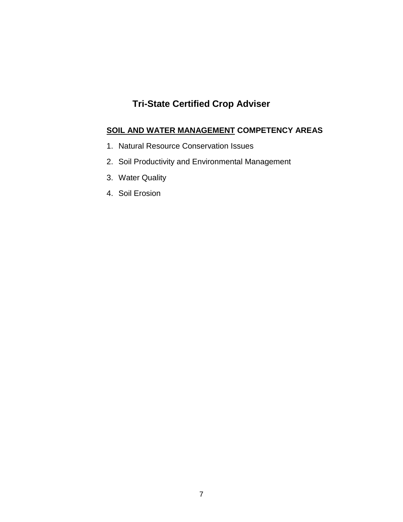# **Tri-State Certified Crop Adviser**

## **SOIL AND WATER MANAGEMENT COMPETENCY AREAS**

- 1. Natural Resource Conservation Issues
- 2. Soil Productivity and Environmental Management
- 3. Water Quality
- 4. Soil Erosion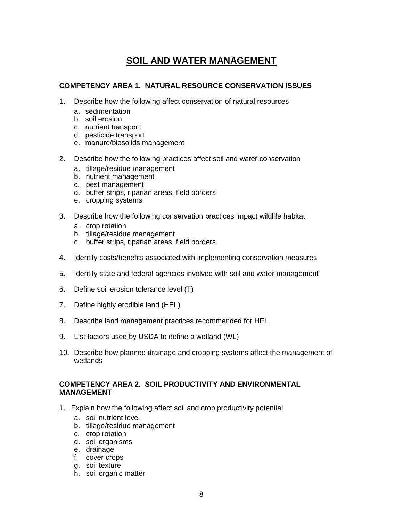# **SOIL AND WATER MANAGEMENT**

#### **COMPETENCY AREA 1. NATURAL RESOURCE CONSERVATION ISSUES**

- 1. Describe how the following affect conservation of natural resources
	- a. sedimentation
	- b. soil erosion
	- c. nutrient transport
	- d. pesticide transport
	- e. manure/biosolids management
- 2. Describe how the following practices affect soil and water conservation
	- a. tillage/residue management
	- b. nutrient management
	- c. pest management
	- d. buffer strips, riparian areas, field borders
	- e. cropping systems
- 3. Describe how the following conservation practices impact wildlife habitat
	- a. crop rotation
	- b. tillage/residue management
	- c. buffer strips, riparian areas, field borders
- 4. Identify costs/benefits associated with implementing conservation measures
- 5. Identify state and federal agencies involved with soil and water management
- 6. Define soil erosion tolerance level (T)
- 7. Define highly erodible land (HEL)
- 8. Describe land management practices recommended for HEL
- 9. List factors used by USDA to define a wetland (WL)
- 10. Describe how planned drainage and cropping systems affect the management of wetlands

#### **COMPETENCY AREA 2. SOIL PRODUCTIVITY AND ENVIRONMENTAL MANAGEMENT**

- 1. Explain how the following affect soil and crop productivity potential
	- a. soil nutrient level
	- b. tillage/residue management
	- c. crop rotation
	- d. soil organisms
	- e. drainage
	- f. cover crops
	- g. soil texture
	- h. soil organic matter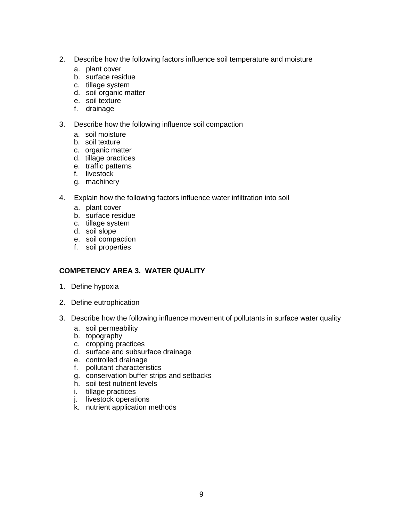- 2. Describe how the following factors influence soil temperature and moisture
	- a. plant cover
	- b. surface residue
	- c. tillage system
	- d. soil organic matter
	- e. soil texture
	- f. drainage
- 3. Describe how the following influence soil compaction
	- a. soil moisture
	- b. soil texture
	- c. organic matter
	- d. tillage practices
	- e. traffic patterns
	- f. livestock
	- g. machinery
- 4. Explain how the following factors influence water infiltration into soil
	- a. plant cover
	- b. surface residue
	- c. tillage system
	- d. soil slope
	- e. soil compaction
	- f. soil properties

#### **COMPETENCY AREA 3. WATER QUALITY**

- 1. Define hypoxia
- 2. Define eutrophication
- 3. Describe how the following influence movement of pollutants in surface water quality
	- a. soil permeability
	- b. topography
	- c. cropping practices
	- d. surface and subsurface drainage
	- e. controlled drainage
	- f. pollutant characteristics
	- g. conservation buffer strips and setbacks
	- h. soil test nutrient levels
	- i. tillage practices
	- j. livestock operations
	- k. nutrient application methods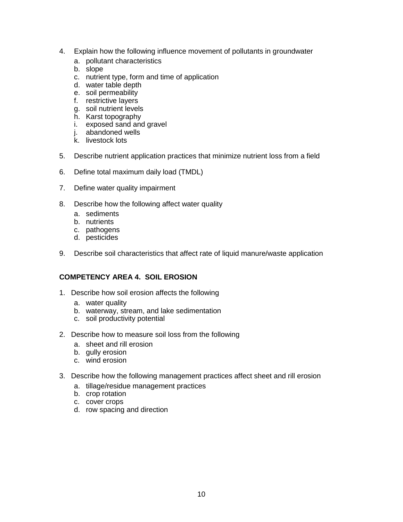- 4. Explain how the following influence movement of pollutants in groundwater
	- a. pollutant characteristics
	- b. slope
	- c. nutrient type, form and time of application
	- d. water table depth
	- e. soil permeability
	- f. restrictive layers
	- g. soil nutrient levels
	- h. Karst topography
	- i. exposed sand and gravel
	- j. abandoned wells
	- k. livestock lots
- 5. Describe nutrient application practices that minimize nutrient loss from a field
- 6. Define total maximum daily load (TMDL)
- 7. Define water quality impairment
- 8. Describe how the following affect water quality
	- a. sediments
	- b. nutrients
	- c. pathogens
	- d. pesticides
- 9. Describe soil characteristics that affect rate of liquid manure/waste application

#### **COMPETENCY AREA 4. SOIL EROSION**

- 1. Describe how soil erosion affects the following
	- a. water quality
	- b. waterway, stream, and lake sedimentation
	- c. soil productivity potential
- 2. Describe how to measure soil loss from the following
	- a. sheet and rill erosion
	- b. gully erosion
	- c. wind erosion
- 3. Describe how the following management practices affect sheet and rill erosion
	- a. tillage/residue management practices
	- b. crop rotation
	- c. cover crops
	- d. row spacing and direction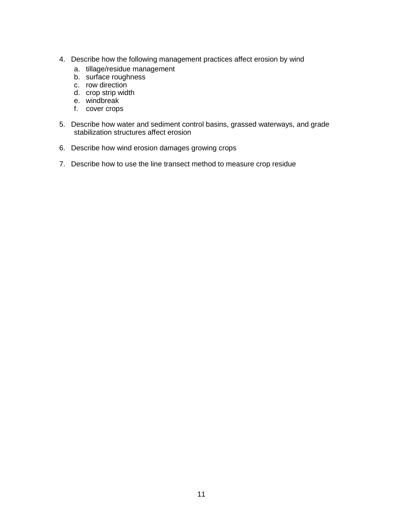- 4. Describe how the following management practices affect erosion by wind
	- a. tillage/residue management
	- b. surface roughness
	- c. row direction
	- d. crop strip width
	- e. windbreak
	- f. cover crops
- 5. Describe how water and sediment control basins, grassed waterways, and grade stabilization structures affect erosion
- 6. Describe how wind erosion damages growing crops
- 7. Describe how to use the line transect method to measure crop residue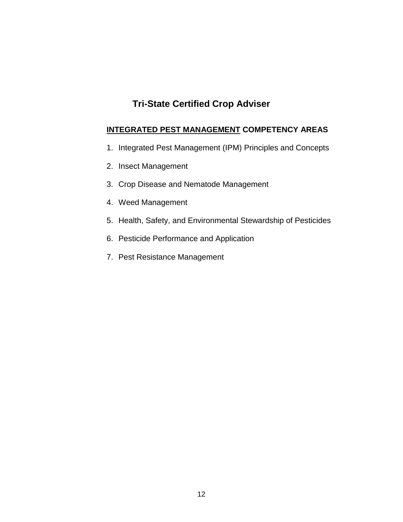# **Tri-State Certified Crop Adviser**

#### **INTEGRATED PEST MANAGEMENT COMPETENCY AREAS**

- 1. Integrated Pest Management (IPM) Principles and Concepts
- 2. Insect Management
- 3. Crop Disease and Nematode Management
- 4. Weed Management
- 5. Health, Safety, and Environmental Stewardship of Pesticides
- 6. Pesticide Performance and Application
- 7. Pest Resistance Management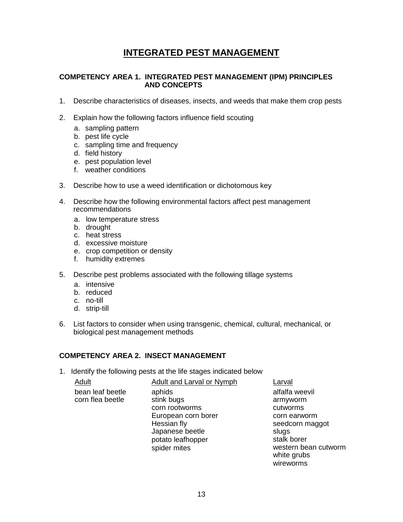# **INTEGRATED PEST MANAGEMENT**

#### **COMPETENCY AREA 1. INTEGRATED PEST MANAGEMENT (IPM) PRINCIPLES AND CONCEPTS**

- 1. Describe characteristics of diseases, insects, and weeds that make them crop pests
- 2. Explain how the following factors influence field scouting
	- a. sampling pattern
	- b. pest life cycle
	- c. sampling time and frequency
	- d. field history
	- e. pest population level
	- f. weather conditions
- 3. Describe how to use a weed identification or dichotomous key
- 4. Describe how the following environmental factors affect pest management recommendations
	- a. low temperature stress
	- b. drought
	- c. heat stress
	- d. excessive moisture
	- e. crop competition or density
	- f. humidity extremes
- 5. Describe pest problems associated with the following tillage systems
	- a. intensive
	- b. reduced
	- c. no-till
	- d. strip-till
- 6. List factors to consider when using transgenic, chemical, cultural, mechanical, or biological pest management methods

#### **COMPETENCY AREA 2. INSECT MANAGEMENT**

1. Identify the following pests at the life stages indicated below

| bean leaf beetle<br>alfalfa weevil<br>aphids                                                                                                                                                                                        | <b>Adult and Larval or Nymph</b> | Larval                           |
|-------------------------------------------------------------------------------------------------------------------------------------------------------------------------------------------------------------------------------------|----------------------------------|----------------------------------|
| corn flea beetle<br>corn rootworms<br>cutworms<br>European corn borer<br>corn earworm<br>Hessian fly<br>seedcorn maggot<br>Japanese beetle<br>slugs<br>stalk borer<br>potato leafhopper<br>spider mites<br>white grubs<br>wireworms | stink bugs                       | armyworm<br>western bean cutworm |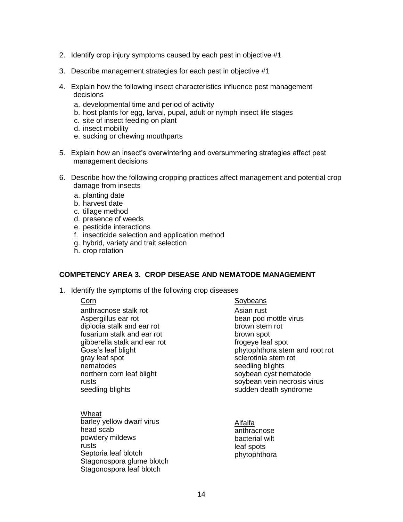- 2. Identify crop injury symptoms caused by each pest in objective #1
- 3. Describe management strategies for each pest in objective #1
- 4. Explain how the following insect characteristics influence pest management decisions
	- a. developmental time and period of activity
	- b. host plants for egg, larval, pupal, adult or nymph insect life stages
	- c. site of insect feeding on plant
	- d. insect mobility
	- e. sucking or chewing mouthparts
- 5. Explain how an insect's overwintering and oversummering strategies affect pest management decisions
- 6. Describe how the following cropping practices affect management and potential crop damage from insects
	- a. planting date
	- b. harvest date
	- c. tillage method
	- d. presence of weeds
	- e. pesticide interactions
	- f. insecticide selection and application method
	- g. hybrid, variety and trait selection
	- h. crop rotation

#### **COMPETENCY AREA 3. CROP DISEASE AND NEMATODE MANAGEMENT**

1. Identify the symptoms of the following crop diseases

anthracnose stalk rot Aspergillus ear rot diplodia stalk and ear rot fusarium stalk and ear rot gibberella stalk and ear rot Goss's leaf blight gray leaf spot nematodes northern corn leaf blight rusts seedling blights

**Wheat** barley yellow dwarf virus head scab powdery mildews rusts Septoria leaf blotch Stagonospora glume blotch Stagonospora leaf blotch

Corn Soybeans Asian rust bean pod mottle virus brown stem rot brown spot frogeye leaf spot phytophthora stem and root rot sclerotinia stem rot seedling blights soybean cyst nematode soybean vein necrosis virus sudden death syndrome

> Alfalfa anthracnose bacterial wilt leaf spots phytophthora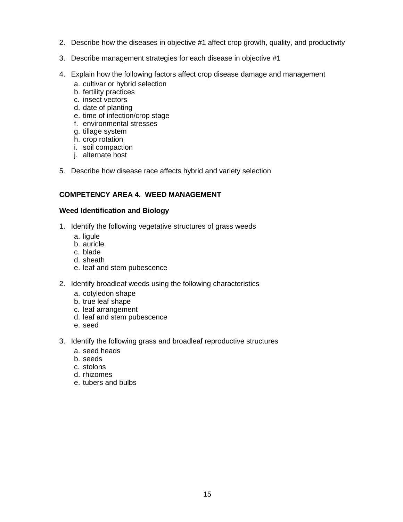- 2. Describe how the diseases in objective #1 affect crop growth, quality, and productivity
- 3. Describe management strategies for each disease in objective #1
- 4. Explain how the following factors affect crop disease damage and management
	- a. cultivar or hybrid selection
	- b. fertility practices
	- c. insect vectors
	- d. date of planting
	- e. time of infection/crop stage
	- f. environmental stresses
	- g. tillage system
	- h. crop rotation
	- i. soil compaction
	- j. alternate host
- 5. Describe how disease race affects hybrid and variety selection

#### **COMPETENCY AREA 4. WEED MANAGEMENT**

#### **Weed Identification and Biology**

- 1. Identify the following vegetative structures of grass weeds
	- a. ligule
	- b. auricle
	- c. blade
	- d. sheath
	- e. leaf and stem pubescence
- 2. Identify broadleaf weeds using the following characteristics
	- a. cotyledon shape
	- b. true leaf shape
	- c. leaf arrangement
	- d. leaf and stem pubescence
	- e. seed
- 3. Identify the following grass and broadleaf reproductive structures
	- a. seed heads
	- b. seeds
	- c. stolons
	- d. rhizomes
	- e. tubers and bulbs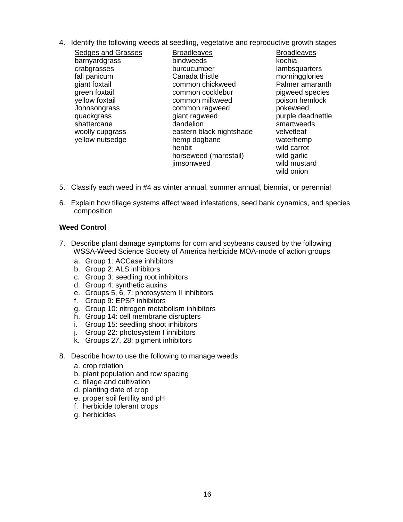4. Identify the following weeds at seedling, vegetative and reproductive growth stages

| Sedges and Grasses | <b>Broadleaves</b>       | <b>Broadleaves</b> |
|--------------------|--------------------------|--------------------|
| barnyardgrass      | bindweeds                | kochia             |
| crabgrasses        | burcucumber              | lambsquarters      |
| fall panicum       | Canada thistle           | morningglories     |
| giant foxtail      | common chickweed         | Palmer amaranth    |
| green foxtail      | common cocklebur         | pigweed species    |
| yellow foxtail     | common milkweed          | poison hemlock     |
| Johnsongrass       | common ragweed           | pokeweed           |
| quackgrass         | giant ragweed            | purple deadnettle  |
| shattercane        | dandelion                | smartweeds         |
| woolly cupgrass    | eastern black nightshade | velvetleaf         |
| yellow nutsedge    | hemp dogbane             | waterhemp          |
|                    | henbit                   | wild carrot        |
|                    | horseweed (marestail)    | wild garlic        |
|                    | jimsonweed               | wild mustard       |
|                    |                          | wild onion         |

- 5. Classify each weed in #4 as winter annual, summer annual, biennial, or perennial
- 6. Explain how tillage systems affect weed infestations, seed bank dynamics, and species composition

#### **Weed Control**

- 7. Describe plant damage symptoms for corn and soybeans caused by the following WSSA-Weed Science Society of America herbicide MOA-mode of action groups
	- a. Group 1: ACCase inhibitors
	- b. Group 2: ALS inhibitors
	- c. Group 3: seedling root inhibitors
	- d. Group 4: synthetic auxins
	- e. Groups 5, 6, 7: photosystem II inhibitors
	- f. Group 9: EPSP inhibitors
	- g. Group 10: nitrogen metabolism inhibitors
	- h. Group 14: cell membrane disrupters
	- i. Group 15: seedling shoot inhibitors
	- j. Group 22: photosystem I inhibitors
	- k. Groups 27, 28: pigment inhibitors
- 8. Describe how to use the following to manage weeds
	- a. crop rotation
	- b. plant population and row spacing
	- c. tillage and cultivation
	- d. planting date of crop
	- e. proper soil fertility and pH
	- f. herbicide tolerant crops
	- g. herbicides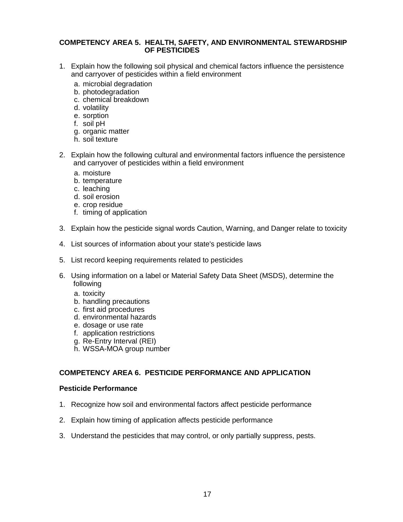#### **COMPETENCY AREA 5. HEALTH, SAFETY, AND ENVIRONMENTAL STEWARDSHIP OF PESTICIDES**

- 1. Explain how the following soil physical and chemical factors influence the persistence and carryover of pesticides within a field environment
	- a. microbial degradation
	- b. photodegradation
	- c. chemical breakdown
	- d. volatility
	- e. sorption
	- f. soil pH
	- g. organic matter
	- h. soil texture
- 2. Explain how the following cultural and environmental factors influence the persistence and carryover of pesticides within a field environment
	- a. moisture
	- b. temperature
	- c. leaching
	- d. soil erosion
	- e. crop residue
	- f. timing of application
- 3. Explain how the pesticide signal words Caution, Warning, and Danger relate to toxicity
- 4. List sources of information about your state's pesticide laws
- 5. List record keeping requirements related to pesticides
- 6. Using information on a label or Material Safety Data Sheet (MSDS), determine the following
	- a. toxicity
	- b. handling precautions
	- c. first aid procedures
	- d. environmental hazards
	- e. dosage or use rate
	- f. application restrictions
	- g. Re-Entry Interval (REI)
	- h. WSSA-MOA group number

#### **COMPETENCY AREA 6. PESTICIDE PERFORMANCE AND APPLICATION**

#### **Pesticide Performance**

- 1. Recognize how soil and environmental factors affect pesticide performance
- 2. Explain how timing of application affects pesticide performance
- 3. Understand the pesticides that may control, or only partially suppress, pests.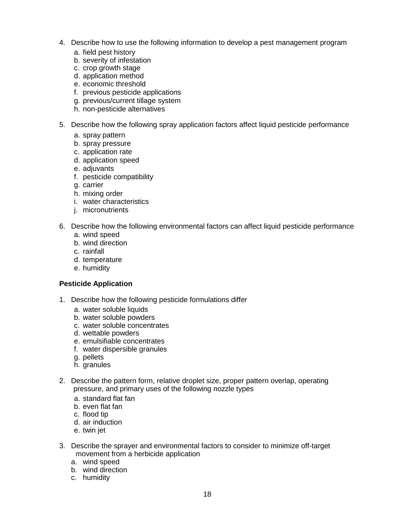- 4. Describe how to use the following information to develop a pest management program
	- a. field pest history
	- b. severity of infestation
	- c. crop growth stage
	- d. application method
	- e. economic threshold
	- f. previous pesticide applications
	- g. previous/current tillage system
	- h. non-pesticide alternatives
- 5. Describe how the following spray application factors affect liquid pesticide performance
	- a. spray pattern
	- b. spray pressure
	- c. application rate
	- d. application speed
	- e. adjuvants
	- f. pesticide compatibility
	- g. carrier
	- h. mixing order
	- i. water characteristics
	- j. micronutrients
- 6. Describe how the following environmental factors can affect liquid pesticide performance
	- a. wind speed
	- b. wind direction
	- c. rainfall
	- d. temperature
	- e. humidity

#### **Pesticide Application**

- 1. Describe how the following pesticide formulations differ
	- a. water soluble liquids
	- b. water soluble powders
	- c. water soluble concentrates
	- d. wettable powders
	- e. emulsifiable concentrates
	- f. water dispersible granules
	- g. pellets
	- h. granules
- 2. Describe the pattern form, relative droplet size, proper pattern overlap, operating pressure, and primary uses of the following nozzle types
	- a. standard flat fan
	- b. even flat fan
	- c. flood tip
	- d. air induction
	- e. twin jet
- 3. Describe the sprayer and environmental factors to consider to minimize off-target movement from a herbicide application
	- a. wind speed
	- b. wind direction
	- c. humidity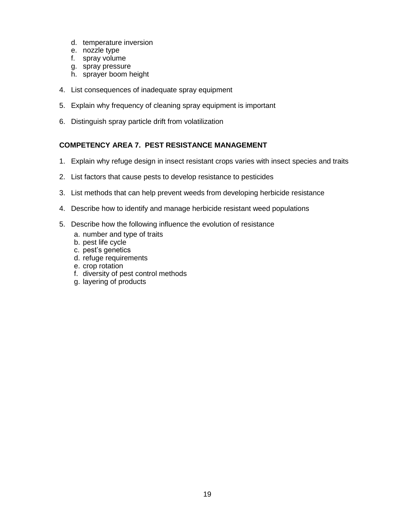- d. temperature inversion
- e. nozzle type
- f. spray volume
- g. spray pressure
- h. sprayer boom height
- 4. List consequences of inadequate spray equipment
- 5. Explain why frequency of cleaning spray equipment is important
- 6. Distinguish spray particle drift from volatilization

#### **COMPETENCY AREA 7. PEST RESISTANCE MANAGEMENT**

- 1. Explain why refuge design in insect resistant crops varies with insect species and traits
- 2. List factors that cause pests to develop resistance to pesticides
- 3. List methods that can help prevent weeds from developing herbicide resistance
- 4. Describe how to identify and manage herbicide resistant weed populations
- 5. Describe how the following influence the evolution of resistance
	- a. number and type of traits
	- b. pest life cycle
	- c. pest's genetics
	- d. refuge requirements
	- e. crop rotation
	- f. diversity of pest control methods
	- g. layering of products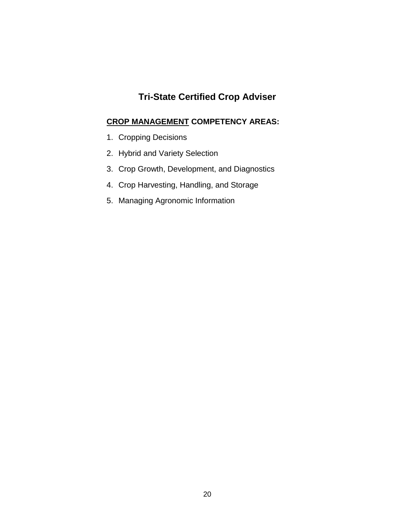# **Tri-State Certified Crop Adviser**

## **CROP MANAGEMENT COMPETENCY AREAS:**

- 1. Cropping Decisions
- 2. Hybrid and Variety Selection
- 3. Crop Growth, Development, and Diagnostics
- 4. Crop Harvesting, Handling, and Storage
- 5. Managing Agronomic Information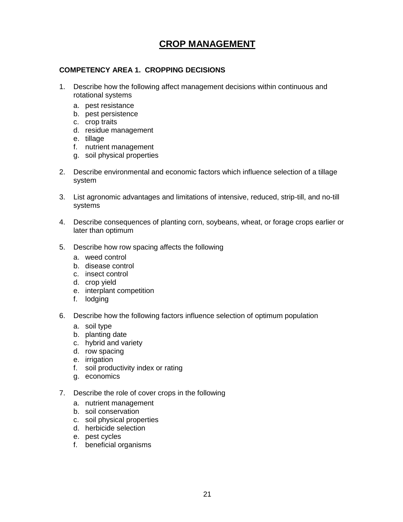# **CROP MANAGEMENT**

#### **COMPETENCY AREA 1. CROPPING DECISIONS**

- 1. Describe how the following affect management decisions within continuous and rotational systems
	- a. pest resistance
	- b. pest persistence
	- c. crop traits
	- d. residue management
	- e. tillage
	- f. nutrient management
	- g. soil physical properties
- 2. Describe environmental and economic factors which influence selection of a tillage system
- 3. List agronomic advantages and limitations of intensive, reduced, strip-till, and no-till systems
- 4. Describe consequences of planting corn, soybeans, wheat, or forage crops earlier or later than optimum
- 5. Describe how row spacing affects the following
	- a. weed control
	- b. disease control
	- c. insect control
	- d. crop yield
	- e. interplant competition
	- f. lodging
- 6. Describe how the following factors influence selection of optimum population
	- a. soil type
	- b. planting date
	- c. hybrid and variety
	- d. row spacing
	- e. irrigation
	- f. soil productivity index or rating
	- g. economics
- 7. Describe the role of cover crops in the following
	- a. nutrient management
	- b. soil conservation
	- c. soil physical properties
	- d. herbicide selection
	- e. pest cycles
	- f. beneficial organisms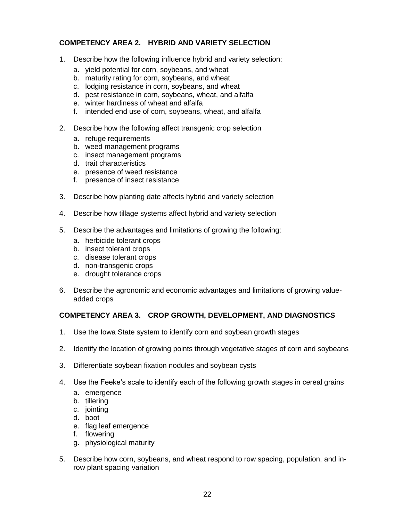#### **COMPETENCY AREA 2. HYBRID AND VARIETY SELECTION**

- 1. Describe how the following influence hybrid and variety selection:
	- a. yield potential for corn, soybeans, and wheat
	- b. maturity rating for corn, soybeans, and wheat
	- c. lodging resistance in corn, soybeans, and wheat
	- d. pest resistance in corn, soybeans, wheat, and alfalfa
	- e. winter hardiness of wheat and alfalfa
	- f. intended end use of corn, soybeans, wheat, and alfalfa
- 2. Describe how the following affect transgenic crop selection
	- a. refuge requirements
	- b. weed management programs
	- c. insect management programs
	- d. trait characteristics
	- e. presence of weed resistance
	- f. presence of insect resistance
- 3. Describe how planting date affects hybrid and variety selection
- 4. Describe how tillage systems affect hybrid and variety selection
- 5. Describe the advantages and limitations of growing the following:
	- a. herbicide tolerant crops
	- b. insect tolerant crops
	- c. disease tolerant crops
	- d. non-transgenic crops
	- e. drought tolerance crops
- 6. Describe the agronomic and economic advantages and limitations of growing valueadded crops

#### **COMPETENCY AREA 3. CROP GROWTH, DEVELOPMENT, AND DIAGNOSTICS**

- 1. Use the Iowa State system to identify corn and soybean growth stages
- 2. Identify the location of growing points through vegetative stages of corn and soybeans
- 3. Differentiate soybean fixation nodules and soybean cysts
- 4. Use the Feeke's scale to identify each of the following growth stages in cereal grains
	- a. emergence
	- b. tillering
	- c. jointing
	- d. boot
	- e. flag leaf emergence
	- f. flowering
	- g. physiological maturity
- 5. Describe how corn, soybeans, and wheat respond to row spacing, population, and inrow plant spacing variation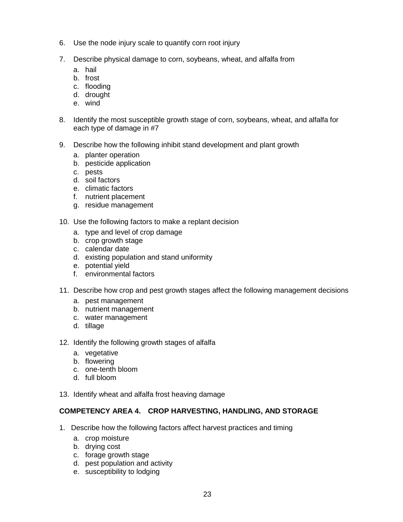- 6. Use the node injury scale to quantify corn root injury
- 7. Describe physical damage to corn, soybeans, wheat, and alfalfa from
	- a. hail
	- b. frost
	- c. flooding
	- d. drought
	- e. wind
- 8. Identify the most susceptible growth stage of corn, soybeans, wheat, and alfalfa for each type of damage in #7
- 9. Describe how the following inhibit stand development and plant growth
	- a. planter operation
	- b. pesticide application
	- c. pests
	- d. soil factors
	- e. climatic factors
	- f. nutrient placement
	- g. residue management
- 10. Use the following factors to make a replant decision
	- a. type and level of crop damage
	- b. crop growth stage
	- c. calendar date
	- d. existing population and stand uniformity
	- e. potential yield
	- f. environmental factors
- 11. Describe how crop and pest growth stages affect the following management decisions
	- a. pest management
	- b. nutrient management
	- c. water management
	- d. tillage
- 12. Identify the following growth stages of alfalfa
	- a. vegetative
	- b. flowering
	- c. one-tenth bloom
	- d. full bloom
- 13. Identify wheat and alfalfa frost heaving damage

#### **COMPETENCY AREA 4. CROP HARVESTING, HANDLING, AND STORAGE**

- 1. Describe how the following factors affect harvest practices and timing
	- a. crop moisture
	- b. drying cost
	- c. forage growth stage
	- d. pest population and activity
	- e. susceptibility to lodging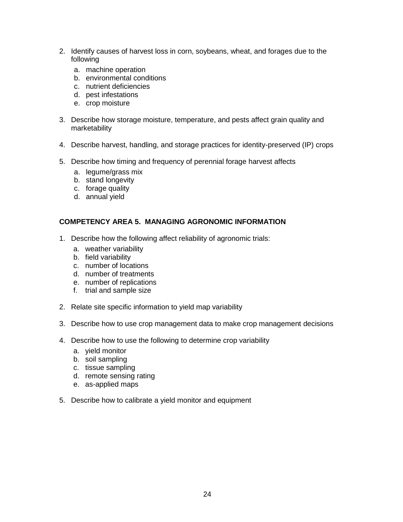- 2. Identify causes of harvest loss in corn, soybeans, wheat, and forages due to the following
	- a. machine operation
	- b. environmental conditions
	- c. nutrient deficiencies
	- d. pest infestations
	- e. crop moisture
- 3. Describe how storage moisture, temperature, and pests affect grain quality and marketability
- 4. Describe harvest, handling, and storage practices for identity-preserved (IP) crops
- 5. Describe how timing and frequency of perennial forage harvest affects
	- a. legume/grass mix
	- b. stand longevity
	- c. forage quality
	- d. annual yield

#### **COMPETENCY AREA 5. MANAGING AGRONOMIC INFORMATION**

- 1. Describe how the following affect reliability of agronomic trials:
	- a. weather variability
	- b. field variability
	- c. number of locations
	- d. number of treatments
	- e. number of replications
	- f. trial and sample size
- 2. Relate site specific information to yield map variability
- 3. Describe how to use crop management data to make crop management decisions
- 4. Describe how to use the following to determine crop variability
	- a. yield monitor
	- b. soil sampling
	- c. tissue sampling
	- d. remote sensing rating
	- e. as-applied maps
- 5. Describe how to calibrate a yield monitor and equipment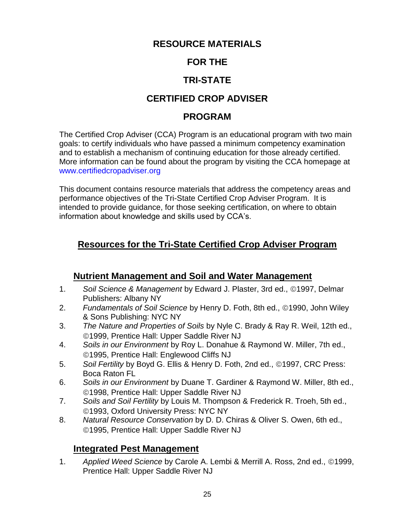# **RESOURCE MATERIALS**

# **FOR THE**

# **TRI-STATE**

# **CERTIFIED CROP ADVISER**

# **PROGRAM**

The Certified Crop Adviser (CCA) Program is an educational program with two main goals: to certify individuals who have passed a minimum competency examination and to establish a mechanism of continuing education for those already certified. More information can be found about the program by visiting the CCA homepage at www.certifiedcropadviser.org

This document contains resource materials that address the competency areas and performance objectives of the Tri-State Certified Crop Adviser Program. It is intended to provide guidance, for those seeking certification, on where to obtain information about knowledge and skills used by CCA's.

# **Resources for the Tri-State Certified Crop Adviser Program**

# **Nutrient Management and Soil and Water Management**

- 1. Soil Science & Management by Edward J. Plaster, 3rd ed., ©1997, Delmar Publishers: Albany NY
- 2. *Fundamentals of Soil Science* by Henry D. Foth, 8th ed., ©1990, John Wiley & Sons Publishing: NYC NY
- 3. *The Nature and Properties of Soils* by Nyle C. Brady & Ray R. Weil, 12th ed., 1999, Prentice Hall: Upper Saddle River NJ
- 4. *Soils in our Environment* by Roy L. Donahue & Raymond W. Miller, 7th ed., 1995, Prentice Hall: Englewood Cliffs NJ
- 5. *Soil Fertility* by Boyd G. Ellis & Henry D. Foth, 2nd ed., 1997, CRC Press: Boca Raton FL
- 6. *Soils in our Environment* by Duane T. Gardiner & Raymond W. Miller, 8th ed., 1998, Prentice Hall: Upper Saddle River NJ
- 7. *Soils and Soil Fertility* by Louis M. Thompson & Frederick R. Troeh, 5th ed., 1993, Oxford University Press: NYC NY
- 8. *Natural Resource Conservation* by D. D. Chiras & Oliver S. Owen, 6th ed., 1995, Prentice Hall: Upper Saddle River NJ

# **Integrated Pest Management**

1. Applied Weed Science by Carole A. Lembi & Merrill A. Ross, 2nd ed., ©1999, Prentice Hall: Upper Saddle River NJ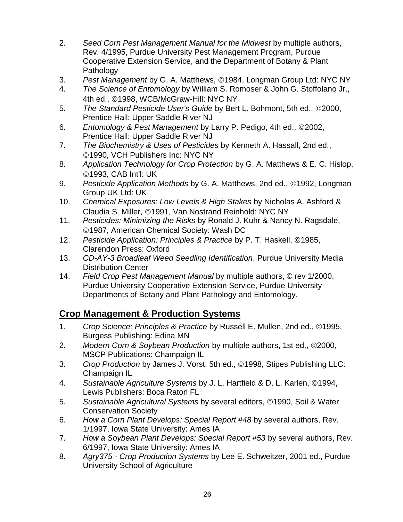- 2. *Seed Corn Pest Management Manual for the Midwest* by multiple authors, Rev. 4/1995, Purdue University Pest Management Program, Purdue Cooperative Extension Service, and the Department of Botany & Plant Pathology
- 3. *Pest Management* by G. A. Matthews, 1984, Longman Group Ltd: NYC NY
- 4. *The Science of Entomology* by William S. Romoser & John G. Stoffolano Jr., 4th ed., ©1998, WCB/McGraw-Hill: NYC NY
- 5. The Standard Pesticide User's Guide by Bert L. Bohmont, 5th ed., ©2000, Prentice Hall: Upper Saddle River NJ
- 6. *Entomology & Pest Management* by Larry P. Pedigo, 4th ed., ©2002, Prentice Hall: Upper Saddle River NJ
- 7. *The Biochemistry & Uses of Pesticides* by Kenneth A. Hassall, 2nd ed., 1990, VCH Publishers Inc: NYC NY
- 8. *Application Technology for Crop Protection* by G. A. Matthews & E. C. Hislop, 1993, CAB Int'l: UK
- 9. Pesticide Application Methods by G. A. Matthews, 2nd ed., ©1992, Longman Group UK Ltd: UK
- 10. *Chemical Exposures: Low Levels & High Stakes* by Nicholas A. Ashford & Claudia S. Miller, ©1991, Van Nostrand Reinhold: NYC NY
- 11. *Pesticides: Minimizing the Risks* by Ronald J. Kuhr & Nancy N. Ragsdale, 1987, American Chemical Society: Wash DC
- 12. *Pesticide Application: Principles & Practice* by P. T. Haskell, ©1985, Clarendon Press: Oxford
- 13. *CD-AY-3 Broadleaf Weed Seedling Identification*, Purdue University Media Distribution Center
- 14. *Field Crop Pest Management Manual* by multiple authors, © rev 1/2000, Purdue University Cooperative Extension Service, Purdue University Departments of Botany and Plant Pathology and Entomology.

# **Crop Management & Production Systems**

- 1. *Crop Science: Principles & Practice* by Russell E. Mullen, 2nd ed., ©1995, Burgess Publishing: Edina MN
- 2. Modern Corn & Soybean Production by multiple authors, 1st ed., ©2000, MSCP Publications: Champaign IL
- 3. *Crop Production* by James J. Vorst, 5th ed., 1998, Stipes Publishing LLC: Champaign IL
- 4. Sustainable Agriculture Systems by J. L. Hartfield & D. L. Karlen, ©1994, Lewis Publishers: Boca Raton FL
- 5. Sustainable Agricultural Systems by several editors, ©1990, Soil & Water Conservation Society
- 6. *How a Corn Plant Develops: Special Report #48* by several authors, Rev. 1/1997, Iowa State University: Ames IA
- 7. *How a Soybean Plant Develops: Special Report #53* by several authors, Rev. 6/1997, Iowa State University: Ames IA
- 8. *Agry375 - Crop Production Systems* by Lee E. Schweitzer, 2001 ed., Purdue University School of Agriculture